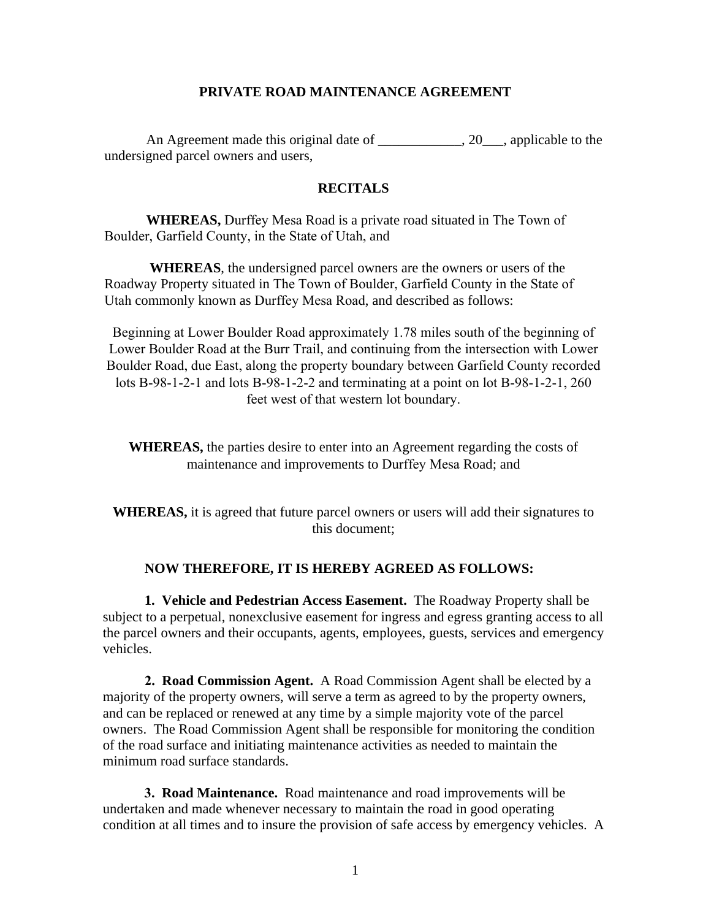## **PRIVATE ROAD MAINTENANCE AGREEMENT**

An Agreement made this original date of \_\_\_\_\_\_\_\_\_\_, 20\_\_, applicable to the undersigned parcel owners and users,

## **RECITALS**

**WHEREAS,** Durffey Mesa Road is a private road situated in The Town of Boulder, Garfield County, in the State of Utah, and

 **WHEREAS**, the undersigned parcel owners are the owners or users of the Roadway Property situated in The Town of Boulder, Garfield County in the State of Utah commonly known as Durffey Mesa Road, and described as follows:

Beginning at Lower Boulder Road approximately 1.78 miles south of the beginning of Lower Boulder Road at the Burr Trail, and continuing from the intersection with Lower Boulder Road, due East, along the property boundary between Garfield County recorded lots B-98-1-2-1 and lots B-98-1-2-2 and terminating at a point on lot B-98-1-2-1, 260 feet west of that western lot boundary.

**WHEREAS,** the parties desire to enter into an Agreement regarding the costs of maintenance and improvements to Durffey Mesa Road; and

**WHEREAS,** it is agreed that future parcel owners or users will add their signatures to this document;

## **NOW THEREFORE, IT IS HEREBY AGREED AS FOLLOWS:**

**1. Vehicle and Pedestrian Access Easement.** The Roadway Property shall be subject to a perpetual, nonexclusive easement for ingress and egress granting access to all the parcel owners and their occupants, agents, employees, guests, services and emergency vehicles.

**2. Road Commission Agent.** A Road Commission Agent shall be elected by a majority of the property owners, will serve a term as agreed to by the property owners, and can be replaced or renewed at any time by a simple majority vote of the parcel owners. The Road Commission Agent shall be responsible for monitoring the condition of the road surface and initiating maintenance activities as needed to maintain the minimum road surface standards.

**3. Road Maintenance.** Road maintenance and road improvements will be undertaken and made whenever necessary to maintain the road in good operating condition at all times and to insure the provision of safe access by emergency vehicles. A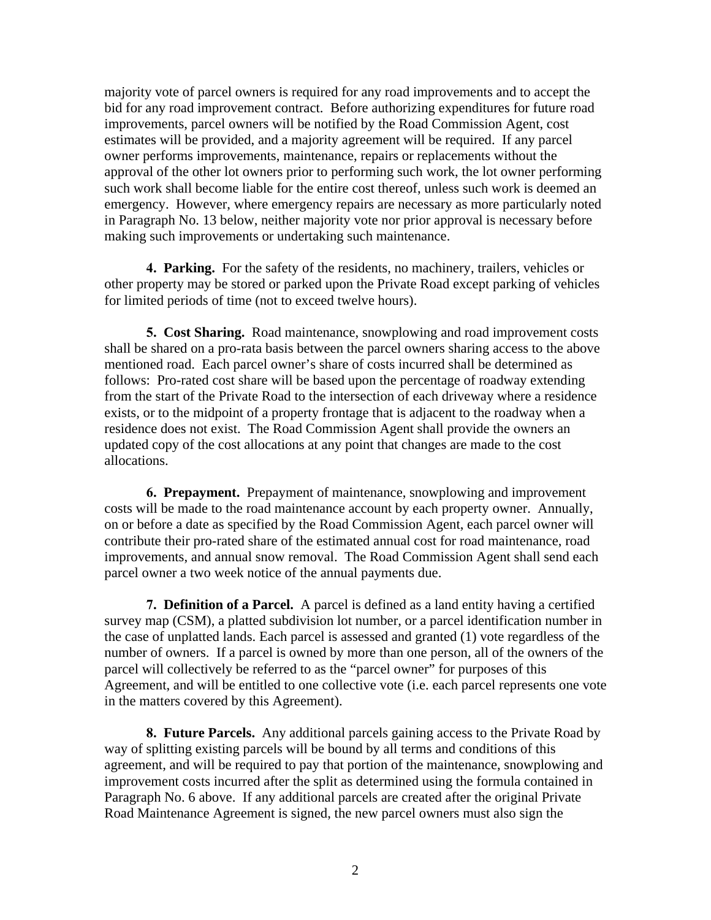majority vote of parcel owners is required for any road improvements and to accept the bid for any road improvement contract. Before authorizing expenditures for future road improvements, parcel owners will be notified by the Road Commission Agent, cost estimates will be provided, and a majority agreement will be required. If any parcel owner performs improvements, maintenance, repairs or replacements without the approval of the other lot owners prior to performing such work, the lot owner performing such work shall become liable for the entire cost thereof, unless such work is deemed an emergency. However, where emergency repairs are necessary as more particularly noted in Paragraph No. 13 below, neither majority vote nor prior approval is necessary before making such improvements or undertaking such maintenance.

**4. Parking.** For the safety of the residents, no machinery, trailers, vehicles or other property may be stored or parked upon the Private Road except parking of vehicles for limited periods of time (not to exceed twelve hours).

**5. Cost Sharing.** Road maintenance, snowplowing and road improvement costs shall be shared on a pro-rata basis between the parcel owners sharing access to the above mentioned road. Each parcel owner's share of costs incurred shall be determined as follows: Pro-rated cost share will be based upon the percentage of roadway extending from the start of the Private Road to the intersection of each driveway where a residence exists, or to the midpoint of a property frontage that is adjacent to the roadway when a residence does not exist. The Road Commission Agent shall provide the owners an updated copy of the cost allocations at any point that changes are made to the cost allocations.

**6. Prepayment.** Prepayment of maintenance, snowplowing and improvement costs will be made to the road maintenance account by each property owner. Annually, on or before a date as specified by the Road Commission Agent, each parcel owner will contribute their pro-rated share of the estimated annual cost for road maintenance, road improvements, and annual snow removal. The Road Commission Agent shall send each parcel owner a two week notice of the annual payments due.

**7. Definition of a Parcel.** A parcel is defined as a land entity having a certified survey map (CSM), a platted subdivision lot number, or a parcel identification number in the case of unplatted lands. Each parcel is assessed and granted (1) vote regardless of the number of owners. If a parcel is owned by more than one person, all of the owners of the parcel will collectively be referred to as the "parcel owner" for purposes of this Agreement, and will be entitled to one collective vote (i.e. each parcel represents one vote in the matters covered by this Agreement).

**8. Future Parcels.** Any additional parcels gaining access to the Private Road by way of splitting existing parcels will be bound by all terms and conditions of this agreement, and will be required to pay that portion of the maintenance, snowplowing and improvement costs incurred after the split as determined using the formula contained in Paragraph No. 6 above. If any additional parcels are created after the original Private Road Maintenance Agreement is signed, the new parcel owners must also sign the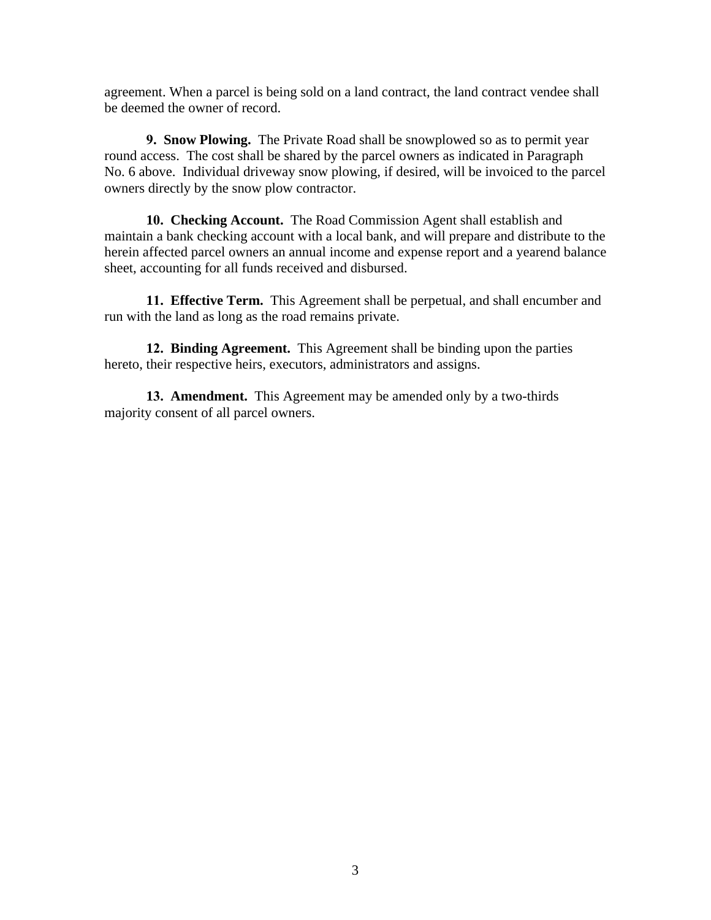agreement. When a parcel is being sold on a land contract, the land contract vendee shall be deemed the owner of record.

**9. Snow Plowing.** The Private Road shall be snowplowed so as to permit year round access. The cost shall be shared by the parcel owners as indicated in Paragraph No. 6 above. Individual driveway snow plowing, if desired, will be invoiced to the parcel owners directly by the snow plow contractor.

**10. Checking Account.** The Road Commission Agent shall establish and maintain a bank checking account with a local bank, and will prepare and distribute to the herein affected parcel owners an annual income and expense report and a yearend balance sheet, accounting for all funds received and disbursed.

**11. Effective Term.** This Agreement shall be perpetual, and shall encumber and run with the land as long as the road remains private.

**12. Binding Agreement.** This Agreement shall be binding upon the parties hereto, their respective heirs, executors, administrators and assigns.

**13. Amendment.** This Agreement may be amended only by a two-thirds majority consent of all parcel owners.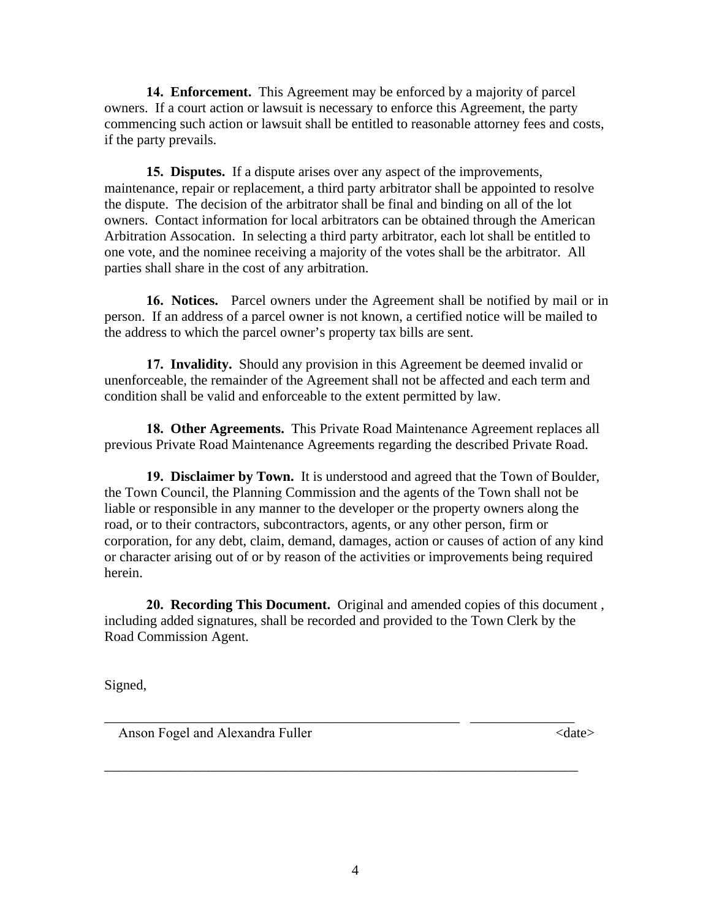**14. Enforcement.** This Agreement may be enforced by a majority of parcel owners. If a court action or lawsuit is necessary to enforce this Agreement, the party commencing such action or lawsuit shall be entitled to reasonable attorney fees and costs, if the party prevails.

**15. Disputes.** If a dispute arises over any aspect of the improvements, maintenance, repair or replacement, a third party arbitrator shall be appointed to resolve the dispute. The decision of the arbitrator shall be final and binding on all of the lot owners. Contact information for local arbitrators can be obtained through the American Arbitration Assocation. In selecting a third party arbitrator, each lot shall be entitled to one vote, and the nominee receiving a majority of the votes shall be the arbitrator. All parties shall share in the cost of any arbitration.

**16. Notices.** Parcel owners under the Agreement shall be notified by mail or in person. If an address of a parcel owner is not known, a certified notice will be mailed to the address to which the parcel owner's property tax bills are sent.

**17. Invalidity.** Should any provision in this Agreement be deemed invalid or unenforceable, the remainder of the Agreement shall not be affected and each term and condition shall be valid and enforceable to the extent permitted by law.

**18. Other Agreements.** This Private Road Maintenance Agreement replaces all previous Private Road Maintenance Agreements regarding the described Private Road.

**19. Disclaimer by Town.** It is understood and agreed that the Town of Boulder, the Town Council, the Planning Commission and the agents of the Town shall not be liable or responsible in any manner to the developer or the property owners along the road, or to their contractors, subcontractors, agents, or any other person, firm or corporation, for any debt, claim, demand, damages, action or causes of action of any kind or character arising out of or by reason of the activities or improvements being required herein.

**20. Recording This Document.** Original and amended copies of this document , including added signatures, shall be recorded and provided to the Town Clerk by the Road Commission Agent.

\_\_\_\_\_\_\_\_\_\_\_\_\_\_\_\_\_\_\_\_\_\_\_\_\_\_\_\_\_\_\_\_\_\_\_\_\_\_\_\_\_\_\_\_\_\_\_\_\_\_\_ \_\_\_\_\_\_\_\_\_\_\_\_\_\_\_

\_\_\_\_\_\_\_\_\_\_\_\_\_\_\_\_\_\_\_\_\_\_\_\_\_\_\_\_\_\_\_\_\_\_\_\_\_\_\_\_\_\_\_\_\_\_\_\_\_\_\_\_\_\_\_\_\_\_\_\_\_\_\_\_\_\_\_\_

Signed,

Anson Fogel and Alexandra Fuller  $\langle$  date>